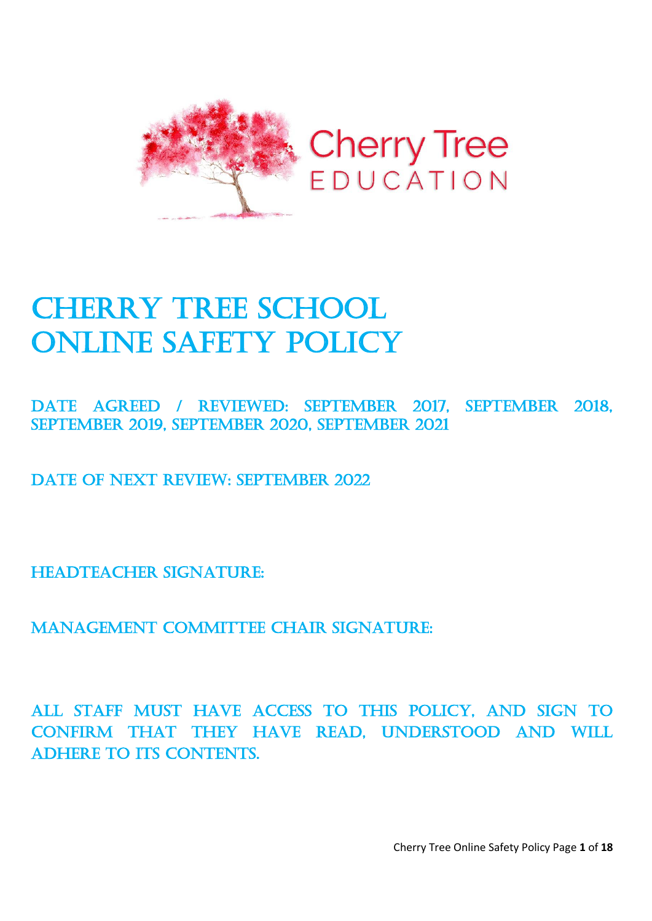

# **CHERRY TREE SCHOOL** Online safety Policy

Date Agreed / REVIEWED: September 2017, September 2018, September 2019, September 2020, September 2021

DATE OF NEXT REVIEW: SEPTEMBER 2022

HEADTEACHER SIGNATURE:

Management Committee Chair signature:

All staff must have access to this policy, and sign to confirm that they have read, understood and will ADHERE TO ITS CONTENTS.

Cherry Tree Online Safety Policy Page **1** of **18**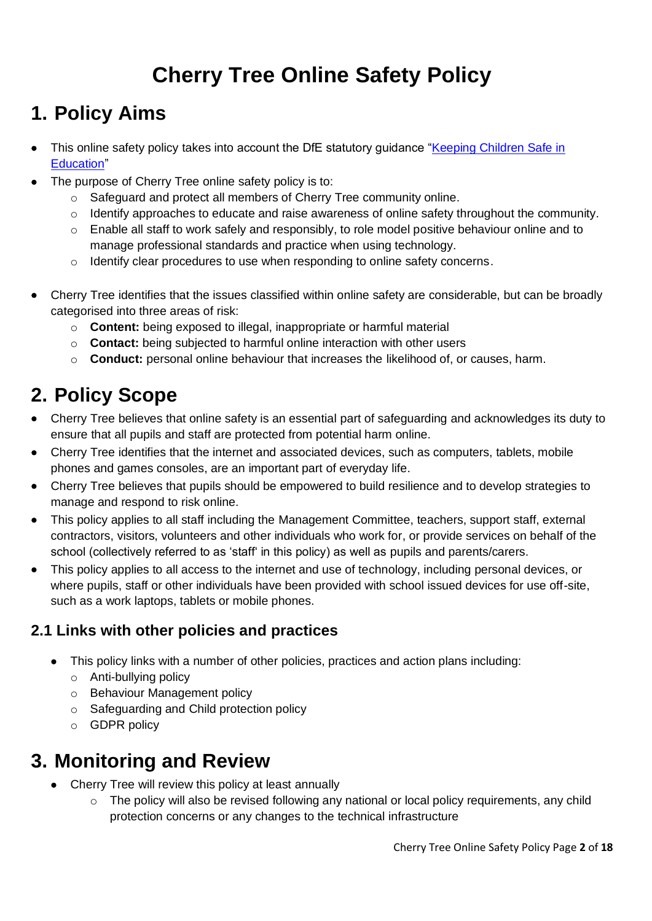## **Cherry Tree Online Safety Policy**

## **1. Policy Aims**

- This online safety policy takes into account the DfE statutory guidance "Keeping Children Safe in [Education"](https://www.gov.uk/government/publications/keeping-children-safe-in-education--2)
- The purpose of Cherry Tree online safety policy is to:
	- o Safeguard and protect all members of Cherry Tree community online.
	- o Identify approaches to educate and raise awareness of online safety throughout the community.
	- o Enable all staff to work safely and responsibly, to role model positive behaviour online and to manage professional standards and practice when using technology.
	- $\circ$  Identify clear procedures to use when responding to online safety concerns.
- Cherry Tree identifies that the issues classified within online safety are considerable, but can be broadly categorised into three areas of risk:
	- o **Content:** being exposed to illegal, inappropriate or harmful material
	- o **Contact:** being subjected to harmful online interaction with other users
	- o **Conduct:** personal online behaviour that increases the likelihood of, or causes, harm.

## **2. Policy Scope**

- Cherry Tree believes that online safety is an essential part of safeguarding and acknowledges its duty to ensure that all pupils and staff are protected from potential harm online.
- Cherry Tree identifies that the internet and associated devices, such as computers, tablets, mobile phones and games consoles, are an important part of everyday life.
- Cherry Tree believes that pupils should be empowered to build resilience and to develop strategies to manage and respond to risk online.
- This policy applies to all staff including the Management Committee, teachers, support staff, external contractors, visitors, volunteers and other individuals who work for, or provide services on behalf of the school (collectively referred to as 'staff' in this policy) as well as pupils and parents/carers.
- This policy applies to all access to the internet and use of technology, including personal devices, or where pupils, staff or other individuals have been provided with school issued devices for use off-site, such as a work laptops, tablets or mobile phones.

## **2.1 Links with other policies and practices**

- This policy links with a number of other policies, practices and action plans including:
	- o Anti-bullying policy
	- o Behaviour Management policy
	- o Safeguarding and Child protection policy
	- o GDPR policy

## **3. Monitoring and Review**

- Cherry Tree will review this policy at least annually
	- $\circ$  The policy will also be revised following any national or local policy requirements, any child protection concerns or any changes to the technical infrastructure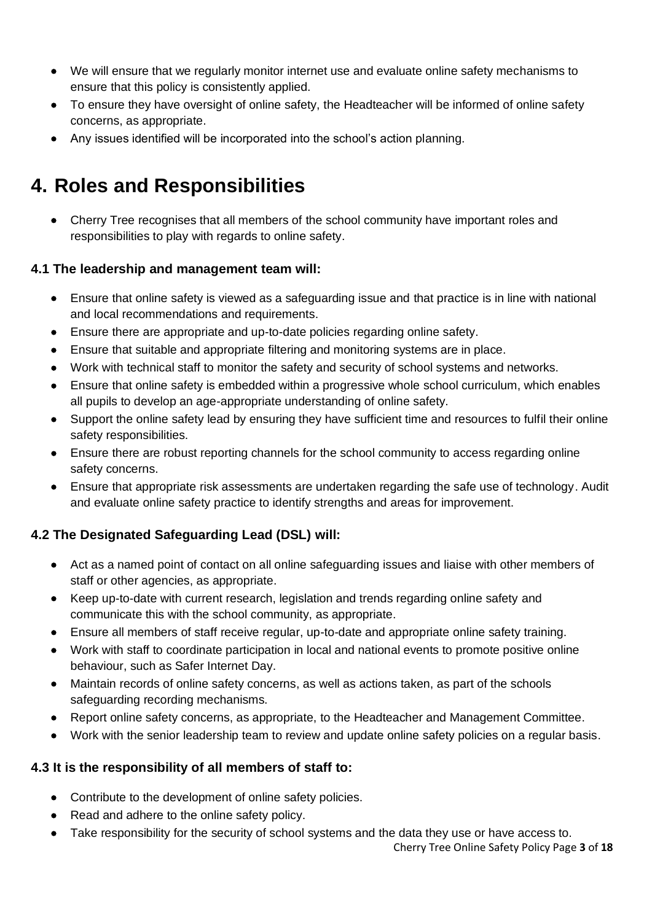- We will ensure that we regularly monitor internet use and evaluate online safety mechanisms to ensure that this policy is consistently applied.
- To ensure they have oversight of online safety, the Headteacher will be informed of online safety concerns, as appropriate.
- Any issues identified will be incorporated into the school's action planning.

## **4. Roles and Responsibilities**

• Cherry Tree recognises that all members of the school community have important roles and responsibilities to play with regards to online safety.

#### **4.1 The leadership and management team will:**

- Ensure that online safety is viewed as a safeguarding issue and that practice is in line with national and local recommendations and requirements.
- Ensure there are appropriate and up-to-date policies regarding online safety.
- Ensure that suitable and appropriate filtering and monitoring systems are in place.
- Work with technical staff to monitor the safety and security of school systems and networks.
- Ensure that online safety is embedded within a progressive whole school curriculum, which enables all pupils to develop an age-appropriate understanding of online safety.
- Support the online safety lead by ensuring they have sufficient time and resources to fulfil their online safety responsibilities.
- Ensure there are robust reporting channels for the school community to access regarding online safety concerns.
- Ensure that appropriate risk assessments are undertaken regarding the safe use of technology. Audit and evaluate online safety practice to identify strengths and areas for improvement.

#### **4.2 The Designated Safeguarding Lead (DSL) will:**

- Act as a named point of contact on all online safeguarding issues and liaise with other members of staff or other agencies, as appropriate.
- Keep up-to-date with current research, legislation and trends regarding online safety and communicate this with the school community, as appropriate.
- Ensure all members of staff receive regular, up-to-date and appropriate online safety training.
- Work with staff to coordinate participation in local and national events to promote positive online behaviour, such as Safer Internet Day.
- Maintain records of online safety concerns, as well as actions taken, as part of the schools safeguarding recording mechanisms.
- Report online safety concerns, as appropriate, to the Headteacher and Management Committee.
- Work with the senior leadership team to review and update online safety policies on a regular basis.

#### **4.3 It is the responsibility of all members of staff to:**

- Contribute to the development of online safety policies.
- Read and adhere to the online safety policy.
- Take responsibility for the security of school systems and the data they use or have access to.

Cherry Tree Online Safety Policy Page **3** of **18**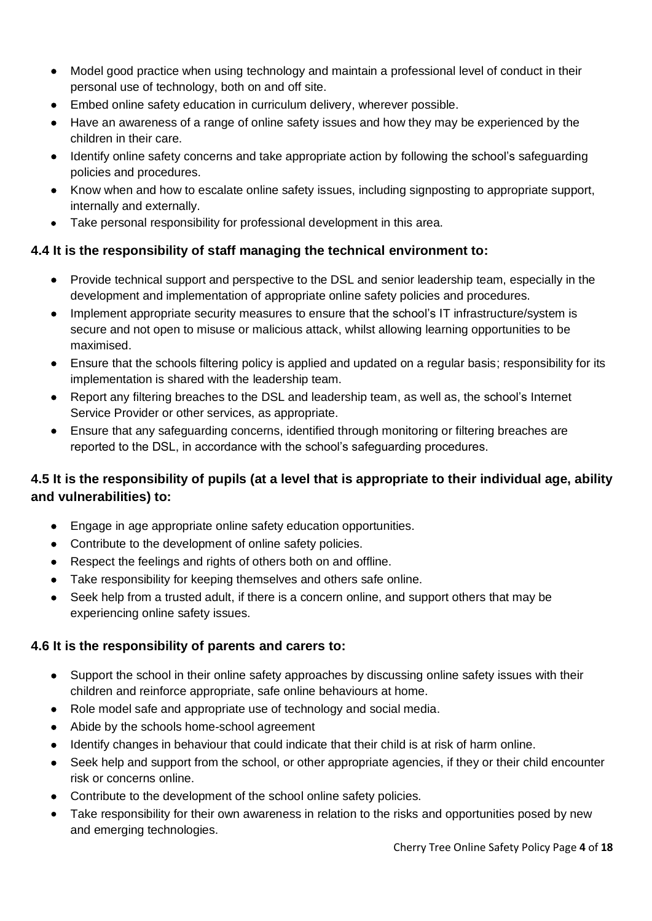- Model good practice when using technology and maintain a professional level of conduct in their personal use of technology, both on and off site.
- Embed online safety education in curriculum delivery, wherever possible.
- Have an awareness of a range of online safety issues and how they may be experienced by the children in their care.
- Identify online safety concerns and take appropriate action by following the school's safeguarding policies and procedures.
- Know when and how to escalate online safety issues, including signposting to appropriate support, internally and externally.
- Take personal responsibility for professional development in this area.

#### **4.4 It is the responsibility of staff managing the technical environment to:**

- Provide technical support and perspective to the DSL and senior leadership team, especially in the development and implementation of appropriate online safety policies and procedures.
- Implement appropriate security measures to ensure that the school's IT infrastructure/system is secure and not open to misuse or malicious attack, whilst allowing learning opportunities to be maximised.
- Ensure that the schools filtering policy is applied and updated on a regular basis; responsibility for its implementation is shared with the leadership team.
- Report any filtering breaches to the DSL and leadership team, as well as, the school's Internet Service Provider or other services, as appropriate.
- Ensure that any safeguarding concerns, identified through monitoring or filtering breaches are reported to the DSL, in accordance with the school's safeguarding procedures.

### **4.5 It is the responsibility of pupils (at a level that is appropriate to their individual age, ability and vulnerabilities) to:**

- Engage in age appropriate online safety education opportunities.
- Contribute to the development of online safety policies.
- Respect the feelings and rights of others both on and offline.
- Take responsibility for keeping themselves and others safe online.
- Seek help from a trusted adult, if there is a concern online, and support others that may be experiencing online safety issues.

#### **4.6 It is the responsibility of parents and carers to:**

- Support the school in their online safety approaches by discussing online safety issues with their children and reinforce appropriate, safe online behaviours at home.
- Role model safe and appropriate use of technology and social media.
- Abide by the schools home-school agreement
- Identify changes in behaviour that could indicate that their child is at risk of harm online.
- Seek help and support from the school, or other appropriate agencies, if they or their child encounter risk or concerns online.
- Contribute to the development of the school online safety policies.
- Take responsibility for their own awareness in relation to the risks and opportunities posed by new and emerging technologies.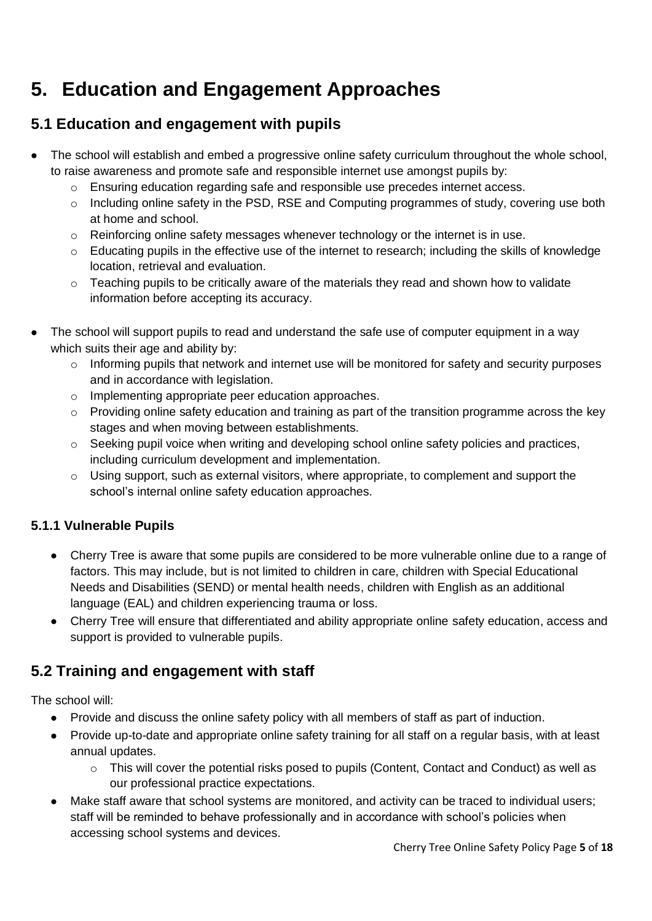## **5. Education and Engagement Approaches**

## **5.1 Education and engagement with pupils**

- The school will establish and embed a progressive online safety curriculum throughout the whole school, to raise awareness and promote safe and responsible internet use amongst pupils by:
	- $\circ$  Ensuring education regarding safe and responsible use precedes internet access.
	- $\circ$  Including online safety in the PSD, RSE and Computing programmes of study, covering use both at home and school.
	- $\circ$  Reinforcing online safety messages whenever technology or the internet is in use.
	- o Educating pupils in the effective use of the internet to research; including the skills of knowledge location, retrieval and evaluation.
	- o Teaching pupils to be critically aware of the materials they read and shown how to validate information before accepting its accuracy.
- The school will support pupils to read and understand the safe use of computer equipment in a way which suits their age and ability by:
	- o Informing pupils that network and internet use will be monitored for safety and security purposes and in accordance with legislation.
	- o Implementing appropriate peer education approaches.
	- o Providing online safety education and training as part of the transition programme across the key stages and when moving between establishments.
	- o Seeking pupil voice when writing and developing school online safety policies and practices, including curriculum development and implementation.
	- $\circ$  Using support, such as external visitors, where appropriate, to complement and support the school's internal online safety education approaches.

## **5.1.1 Vulnerable Pupils**

- Cherry Tree is aware that some pupils are considered to be more vulnerable online due to a range of factors. This may include, but is not limited to children in care, children with Special Educational Needs and Disabilities (SEND) or mental health needs, children with English as an additional language (EAL) and children experiencing trauma or loss.
- Cherry Tree will ensure that differentiated and ability appropriate online safety education, access and support is provided to vulnerable pupils.

## **5.2 Training and engagement with staff**

The school will:

- Provide and discuss the online safety policy with all members of staff as part of induction.
- Provide up-to-date and appropriate online safety training for all staff on a regular basis, with at least annual updates.
	- $\circ$  This will cover the potential risks posed to pupils (Content, Contact and Conduct) as well as our professional practice expectations.
- Make staff aware that school systems are monitored, and activity can be traced to individual users; staff will be reminded to behave professionally and in accordance with school's policies when accessing school systems and devices.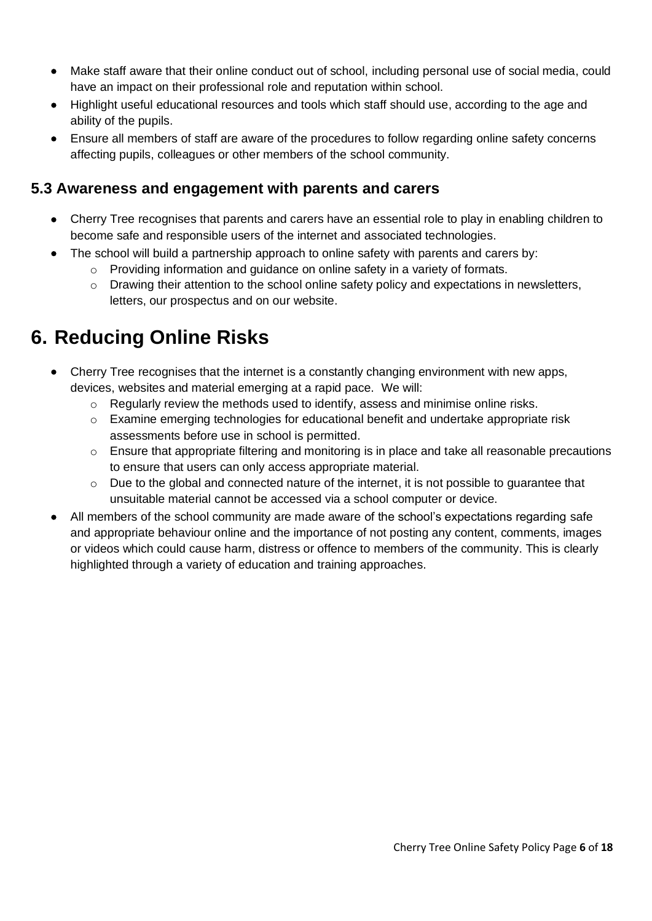- Make staff aware that their online conduct out of school, including personal use of social media, could have an impact on their professional role and reputation within school.
- Highlight useful educational resources and tools which staff should use, according to the age and ability of the pupils.
- Ensure all members of staff are aware of the procedures to follow regarding online safety concerns affecting pupils, colleagues or other members of the school community.

### **5.3 Awareness and engagement with parents and carers**

- Cherry Tree recognises that parents and carers have an essential role to play in enabling children to become safe and responsible users of the internet and associated technologies.
- The school will build a partnership approach to online safety with parents and carers by:
	- o Providing information and guidance on online safety in a variety of formats.
	- $\circ$  Drawing their attention to the school online safety policy and expectations in newsletters, letters, our prospectus and on our website.

## **6. Reducing Online Risks**

- Cherry Tree recognises that the internet is a constantly changing environment with new apps, devices, websites and material emerging at a rapid pace. We will:
	- $\circ$  Regularly review the methods used to identify, assess and minimise online risks.
	- o Examine emerging technologies for educational benefit and undertake appropriate risk assessments before use in school is permitted.
	- $\circ$  Ensure that appropriate filtering and monitoring is in place and take all reasonable precautions to ensure that users can only access appropriate material.
	- $\circ$  Due to the global and connected nature of the internet, it is not possible to guarantee that unsuitable material cannot be accessed via a school computer or device.
- All members of the school community are made aware of the school's expectations regarding safe and appropriate behaviour online and the importance of not posting any content, comments, images or videos which could cause harm, distress or offence to members of the community. This is clearly highlighted through a variety of education and training approaches.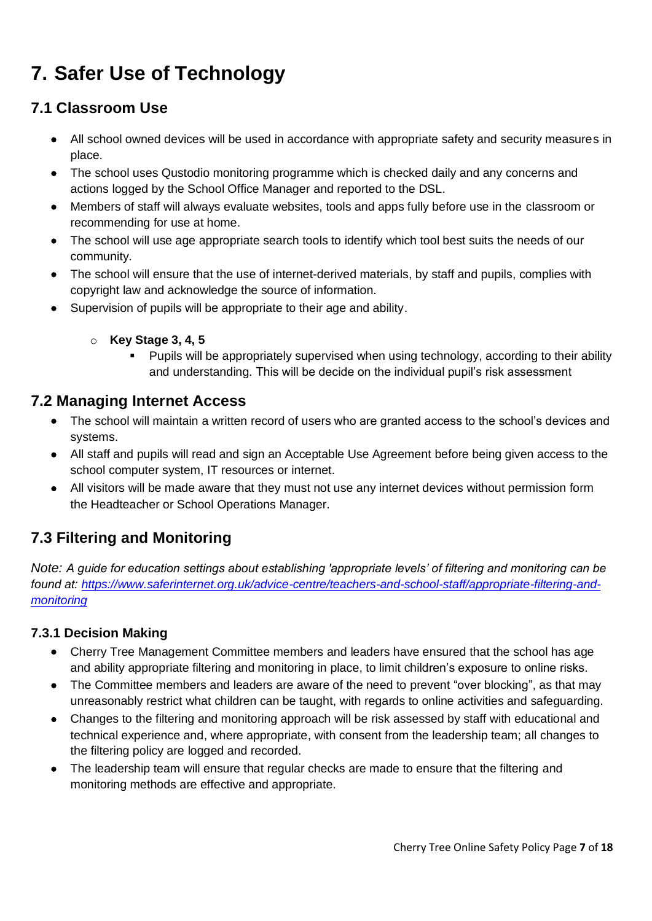## **7. Safer Use of Technology**

## **7.1 Classroom Use**

- All school owned devices will be used in accordance with appropriate safety and security measures in place.
- The school uses Qustodio monitoring programme which is checked daily and any concerns and actions logged by the School Office Manager and reported to the DSL.
- Members of staff will always evaluate websites, tools and apps fully before use in the classroom or recommending for use at home.
- The school will use age appropriate search tools to identify which tool best suits the needs of our community.
- The school will ensure that the use of internet-derived materials, by staff and pupils, complies with copyright law and acknowledge the source of information.
- Supervision of pupils will be appropriate to their age and ability.
	- o **Key Stage 3, 4, 5**
		- Pupils will be appropriately supervised when using technology, according to their ability and understanding. This will be decide on the individual pupil's risk assessment

### **7.2 Managing Internet Access**

- The school will maintain a written record of users who are granted access to the school's devices and systems.
- All staff and pupils will read and sign an Acceptable Use Agreement before being given access to the school computer system, IT resources or internet.
- All visitors will be made aware that they must not use any internet devices without permission form the Headteacher or School Operations Manager.

## **7.3 Filtering and Monitoring**

*Note: A guide for education settings about establishing 'appropriate levels' of filtering and monitoring can be found at: [https://www.saferinternet.org.uk/advice-centre/teachers-and-school-staff/appropriate-filtering-and](https://www.saferinternet.org.uk/advice-centre/teachers-and-school-staff/appropriate-filtering-and-monitoring)[monitoring](https://www.saferinternet.org.uk/advice-centre/teachers-and-school-staff/appropriate-filtering-and-monitoring)*

#### **7.3.1 Decision Making**

- Cherry Tree Management Committee members and leaders have ensured that the school has age and ability appropriate filtering and monitoring in place, to limit children's exposure to online risks.
- The Committee members and leaders are aware of the need to prevent "over blocking", as that may unreasonably restrict what children can be taught, with regards to online activities and safeguarding.
- Changes to the filtering and monitoring approach will be risk assessed by staff with educational and technical experience and, where appropriate, with consent from the leadership team; all changes to the filtering policy are logged and recorded.
- The leadership team will ensure that regular checks are made to ensure that the filtering and monitoring methods are effective and appropriate.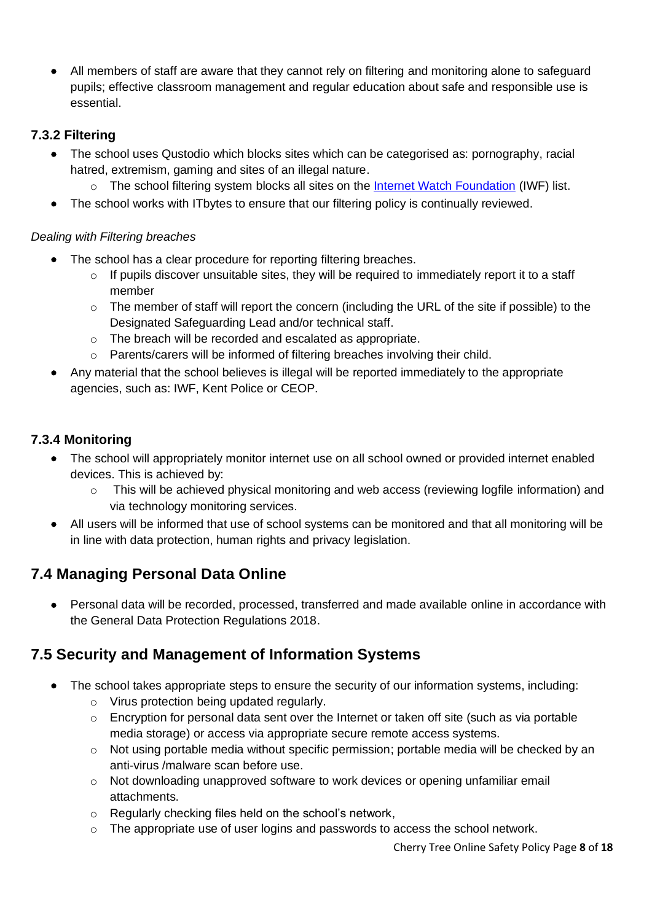• All members of staff are aware that they cannot rely on filtering and monitoring alone to safeguard pupils; effective classroom management and regular education about safe and responsible use is essential.

### **7.3.2 Filtering**

- The school uses Qustodio which blocks sites which can be categorised as: pornography, racial hatred, extremism, gaming and sites of an illegal nature.
	- $\circ$  The school filtering system blocks all sites on the [Internet Watch Foundation](https://www.iwf.org.uk/) (IWF) list.
- The school works with ITbytes to ensure that our filtering policy is continually reviewed.

#### *Dealing with Filtering breaches*

- The school has a clear procedure for reporting filtering breaches.
	- $\circ$  If pupils discover unsuitable sites, they will be required to immediately report it to a staff member
	- $\circ$  The member of staff will report the concern (including the URL of the site if possible) to the Designated Safeguarding Lead and/or technical staff.
	- o The breach will be recorded and escalated as appropriate.
	- o Parents/carers will be informed of filtering breaches involving their child.
- Any material that the school believes is illegal will be reported immediately to the appropriate agencies, such as: IWF, Kent Police or CEOP.

### **7.3.4 Monitoring**

- The school will appropriately monitor internet use on all school owned or provided internet enabled devices. This is achieved by:
	- $\circ$  This will be achieved physical monitoring and web access (reviewing logfile information) and via technology monitoring services.
- All users will be informed that use of school systems can be monitored and that all monitoring will be in line with data protection, human rights and privacy legislation.

## **7.4 Managing Personal Data Online**

• Personal data will be recorded, processed, transferred and made available online in accordance with the General Data Protection Regulations 2018.

## **7.5 Security and Management of Information Systems**

- The school takes appropriate steps to ensure the security of our information systems, including:
	- o Virus protection being updated regularly.
	- $\circ$  Encryption for personal data sent over the Internet or taken off site (such as via portable media storage) or access via appropriate secure remote access systems.
	- $\circ$  Not using portable media without specific permission; portable media will be checked by an anti-virus /malware scan before use.
	- o Not downloading unapproved software to work devices or opening unfamiliar email attachments.
	- o Regularly checking files held on the school's network,
	- $\circ$  The appropriate use of user logins and passwords to access the school network.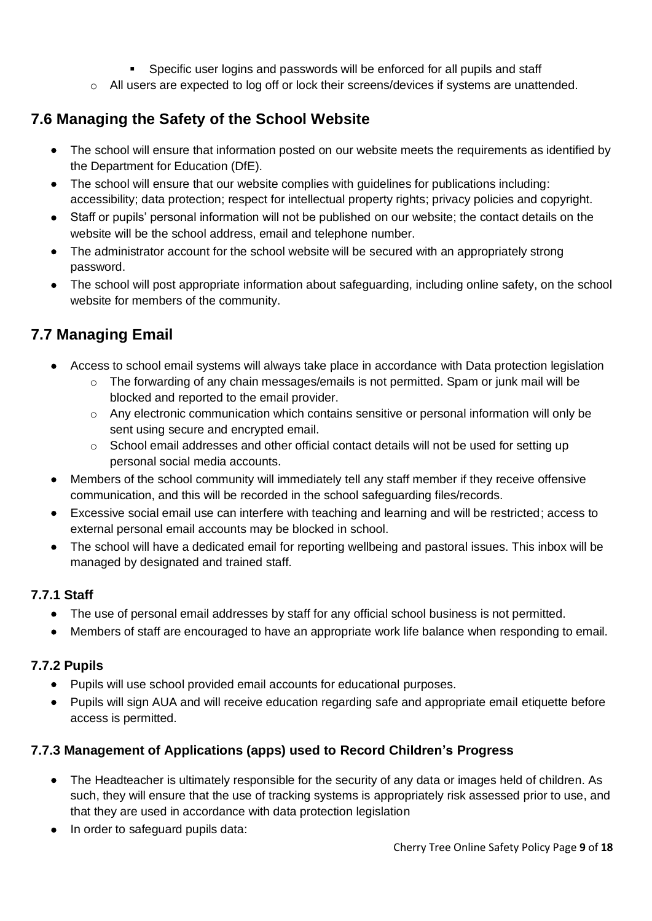- Specific user logins and passwords will be enforced for all pupils and staff
- o All users are expected to log off or lock their screens/devices if systems are unattended.

## **7.6 Managing the Safety of the School Website**

- The school will ensure that information posted on our website meets the requirements as identified by the Department for Education (DfE).
- The school will ensure that our website complies with quidelines for publications including: accessibility; data protection; respect for intellectual property rights; privacy policies and copyright.
- Staff or pupils' personal information will not be published on our website; the contact details on the website will be the school address, email and telephone number.
- The administrator account for the school website will be secured with an appropriately strong password.
- The school will post appropriate information about safeguarding, including online safety, on the school website for members of the community.

## **7.7 Managing Email**

- Access to school email systems will always take place in accordance with Data protection legislation
	- $\circ$  The forwarding of any chain messages/emails is not permitted. Spam or junk mail will be blocked and reported to the email provider.
	- o Any electronic communication which contains sensitive or personal information will only be sent using secure and encrypted email.
	- o School email addresses and other official contact details will not be used for setting up personal social media accounts.
- Members of the school community will immediately tell any staff member if they receive offensive communication, and this will be recorded in the school safeguarding files/records.
- Excessive social email use can interfere with teaching and learning and will be restricted; access to external personal email accounts may be blocked in school.
- The school will have a dedicated email for reporting wellbeing and pastoral issues. This inbox will be managed by designated and trained staff.

### **7.7.1 Staff**

- The use of personal email addresses by staff for any official school business is not permitted.
- Members of staff are encouraged to have an appropriate work life balance when responding to email.

#### **7.7.2 Pupils**

- Pupils will use school provided email accounts for educational purposes.
- Pupils will sign AUA and will receive education regarding safe and appropriate email etiquette before access is permitted.

### **7.7.3 Management of Applications (apps) used to Record Children's Progress**

- The Headteacher is ultimately responsible for the security of any data or images held of children. As such, they will ensure that the use of tracking systems is appropriately risk assessed prior to use, and that they are used in accordance with data protection legislation
- In order to safeguard pupils data: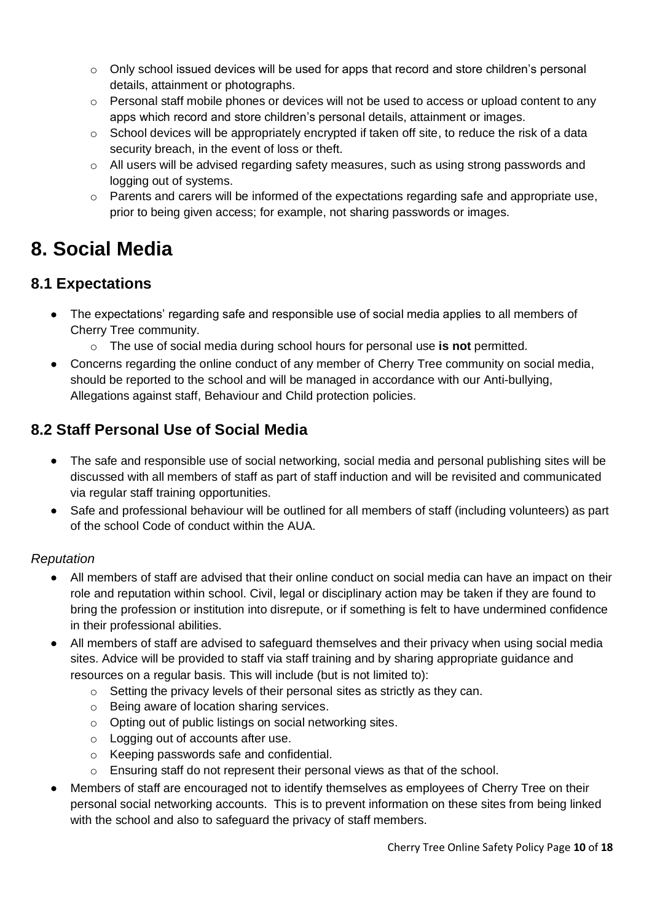- $\circ$  Only school issued devices will be used for apps that record and store children's personal details, attainment or photographs.
- $\circ$  Personal staff mobile phones or devices will not be used to access or upload content to any apps which record and store children's personal details, attainment or images.
- o School devices will be appropriately encrypted if taken off site, to reduce the risk of a data security breach, in the event of loss or theft.
- $\circ$  All users will be advised regarding safety measures, such as using strong passwords and logging out of systems.
- o Parents and carers will be informed of the expectations regarding safe and appropriate use, prior to being given access; for example, not sharing passwords or images.

## **8. Social Media**

## **8.1 Expectations**

- The expectations' regarding safe and responsible use of social media applies to all members of Cherry Tree community.
	- o The use of social media during school hours for personal use **is not** permitted.
- Concerns regarding the online conduct of any member of Cherry Tree community on social media, should be reported to the school and will be managed in accordance with our Anti-bullying, Allegations against staff, Behaviour and Child protection policies.

## **8.2 Staff Personal Use of Social Media**

- The safe and responsible use of social networking, social media and personal publishing sites will be discussed with all members of staff as part of staff induction and will be revisited and communicated via regular staff training opportunities.
- Safe and professional behaviour will be outlined for all members of staff (including volunteers) as part of the school Code of conduct within the AUA.

### *Reputation*

- All members of staff are advised that their online conduct on social media can have an impact on their role and reputation within school. Civil, legal or disciplinary action may be taken if they are found to bring the profession or institution into disrepute, or if something is felt to have undermined confidence in their professional abilities.
- All members of staff are advised to safeguard themselves and their privacy when using social media sites. Advice will be provided to staff via staff training and by sharing appropriate guidance and resources on a regular basis. This will include (but is not limited to):
	- o Setting the privacy levels of their personal sites as strictly as they can.
	- o Being aware of location sharing services.
	- o Opting out of public listings on social networking sites.
	- o Logging out of accounts after use.
	- o Keeping passwords safe and confidential.
	- o Ensuring staff do not represent their personal views as that of the school.
- Members of staff are encouraged not to identify themselves as employees of Cherry Tree on their personal social networking accounts. This is to prevent information on these sites from being linked with the school and also to safeguard the privacy of staff members.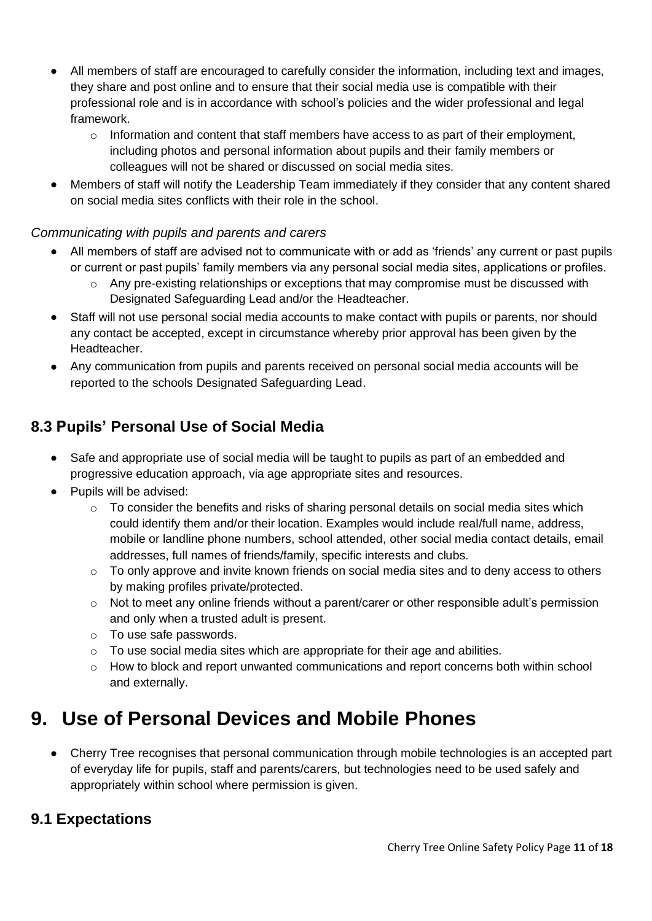- All members of staff are encouraged to carefully consider the information, including text and images, they share and post online and to ensure that their social media use is compatible with their professional role and is in accordance with school's policies and the wider professional and legal framework.
	- $\circ$  Information and content that staff members have access to as part of their employment, including photos and personal information about pupils and their family members or colleagues will not be shared or discussed on social media sites.
- Members of staff will notify the Leadership Team immediately if they consider that any content shared on social media sites conflicts with their role in the school.

#### *Communicating with pupils and parents and carers*

- All members of staff are advised not to communicate with or add as 'friends' any current or past pupils or current or past pupils' family members via any personal social media sites, applications or profiles.
	- $\circ$  Any pre-existing relationships or exceptions that may compromise must be discussed with Designated Safeguarding Lead and/or the Headteacher.
- Staff will not use personal social media accounts to make contact with pupils or parents, nor should any contact be accepted, except in circumstance whereby prior approval has been given by the Headteacher.
- Any communication from pupils and parents received on personal social media accounts will be reported to the schools Designated Safeguarding Lead.

## **8.3 Pupils' Personal Use of Social Media**

- Safe and appropriate use of social media will be taught to pupils as part of an embedded and progressive education approach, via age appropriate sites and resources.
- Pupils will be advised:
	- o To consider the benefits and risks of sharing personal details on social media sites which could identify them and/or their location. Examples would include real/full name, address, mobile or landline phone numbers, school attended, other social media contact details, email addresses, full names of friends/family, specific interests and clubs.
	- $\circ$  To only approve and invite known friends on social media sites and to deny access to others by making profiles private/protected.
	- o Not to meet any online friends without a parent/carer or other responsible adult's permission and only when a trusted adult is present.
	- o To use safe passwords.
	- $\circ$  To use social media sites which are appropriate for their age and abilities.
	- $\circ$  How to block and report unwanted communications and report concerns both within school and externally.

## **9. Use of Personal Devices and Mobile Phones**

• Cherry Tree recognises that personal communication through mobile technologies is an accepted part of everyday life for pupils, staff and parents/carers, but technologies need to be used safely and appropriately within school where permission is given.

## **9.1 Expectations**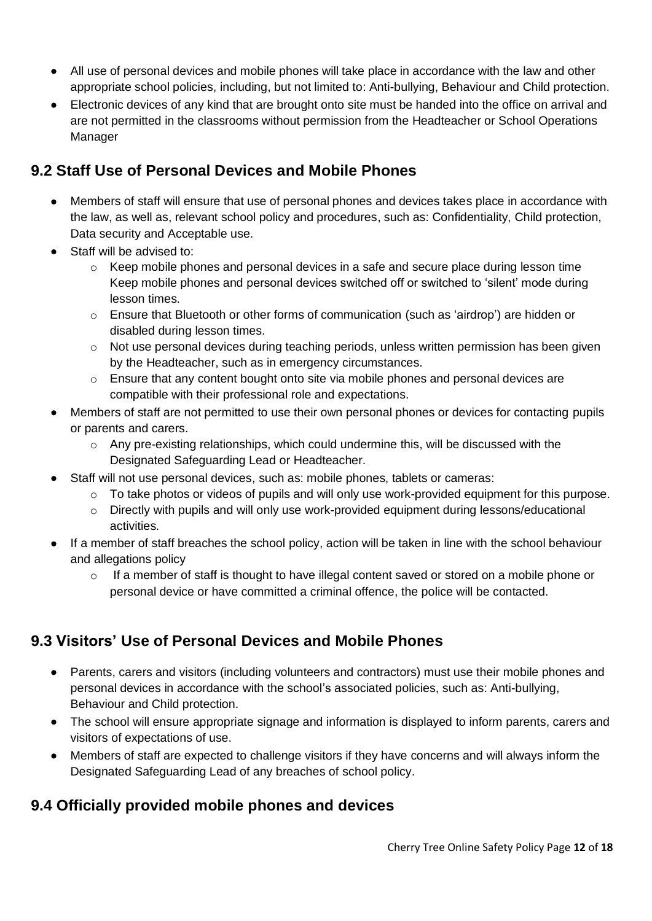- All use of personal devices and mobile phones will take place in accordance with the law and other appropriate school policies, including, but not limited to: Anti-bullying, Behaviour and Child protection.
- Electronic devices of any kind that are brought onto site must be handed into the office on arrival and are not permitted in the classrooms without permission from the Headteacher or School Operations Manager

## **9.2 Staff Use of Personal Devices and Mobile Phones**

- Members of staff will ensure that use of personal phones and devices takes place in accordance with the law, as well as, relevant school policy and procedures, such as: Confidentiality, Child protection, Data security and Acceptable use.
- Staff will be advised to:
	- $\circ$  Keep mobile phones and personal devices in a safe and secure place during lesson time Keep mobile phones and personal devices switched off or switched to 'silent' mode during lesson times.
	- o Ensure that Bluetooth or other forms of communication (such as 'airdrop') are hidden or disabled during lesson times.
	- $\circ$  Not use personal devices during teaching periods, unless written permission has been given by the Headteacher, such as in emergency circumstances.
	- $\circ$  Ensure that any content bought onto site via mobile phones and personal devices are compatible with their professional role and expectations.
- Members of staff are not permitted to use their own personal phones or devices for contacting pupils or parents and carers.
	- $\circ$  Any pre-existing relationships, which could undermine this, will be discussed with the Designated Safeguarding Lead or Headteacher.
- Staff will not use personal devices, such as: mobile phones, tablets or cameras:
	- $\circ$  To take photos or videos of pupils and will only use work-provided equipment for this purpose.
	- o Directly with pupils and will only use work-provided equipment during lessons/educational activities.
- If a member of staff breaches the school policy, action will be taken in line with the school behaviour and allegations policy
	- o If a member of staff is thought to have illegal content saved or stored on a mobile phone or personal device or have committed a criminal offence, the police will be contacted.

## **9.3 Visitors' Use of Personal Devices and Mobile Phones**

- Parents, carers and visitors (including volunteers and contractors) must use their mobile phones and personal devices in accordance with the school's associated policies, such as: Anti-bullying, Behaviour and Child protection.
- The school will ensure appropriate signage and information is displayed to inform parents, carers and visitors of expectations of use.
- Members of staff are expected to challenge visitors if they have concerns and will always inform the Designated Safeguarding Lead of any breaches of school policy.

## **9.4 Officially provided mobile phones and devices**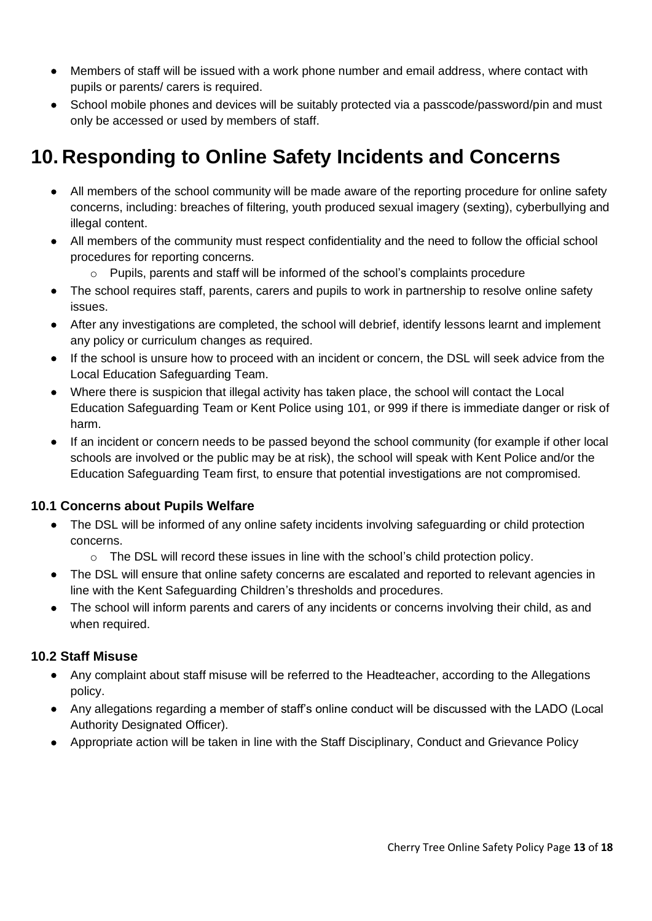- Members of staff will be issued with a work phone number and email address, where contact with pupils or parents/ carers is required.
- School mobile phones and devices will be suitably protected via a passcode/password/pin and must only be accessed or used by members of staff.

## **10. Responding to Online Safety Incidents and Concerns**

- All members of the school community will be made aware of the reporting procedure for online safety concerns, including: breaches of filtering, youth produced sexual imagery (sexting), cyberbullying and illegal content.
- All members of the community must respect confidentiality and the need to follow the official school procedures for reporting concerns.
	- $\circ$  Pupils, parents and staff will be informed of the school's complaints procedure
- The school requires staff, parents, carers and pupils to work in partnership to resolve online safety issues.
- After any investigations are completed, the school will debrief, identify lessons learnt and implement any policy or curriculum changes as required.
- If the school is unsure how to proceed with an incident or concern, the DSL will seek advice from the Local Education Safeguarding Team.
- Where there is suspicion that illegal activity has taken place, the school will contact the Local Education Safeguarding Team or Kent Police using 101, or 999 if there is immediate danger or risk of harm.
- If an incident or concern needs to be passed beyond the school community (for example if other local schools are involved or the public may be at risk), the school will speak with Kent Police and/or the Education Safeguarding Team first, to ensure that potential investigations are not compromised.

#### **10.1 Concerns about Pupils Welfare**

- The DSL will be informed of any online safety incidents involving safeguarding or child protection concerns.
	- $\circ$  The DSL will record these issues in line with the school's child protection policy.
- The DSL will ensure that online safety concerns are escalated and reported to relevant agencies in line with the Kent Safeguarding Children's thresholds and procedures.
- The school will inform parents and carers of any incidents or concerns involving their child, as and when required.

#### **10.2 Staff Misuse**

- Any complaint about staff misuse will be referred to the Headteacher, according to the Allegations policy.
- Any allegations regarding a member of staff's online conduct will be discussed with the LADO (Local Authority Designated Officer).
- Appropriate action will be taken in line with the Staff Disciplinary, Conduct and Grievance Policy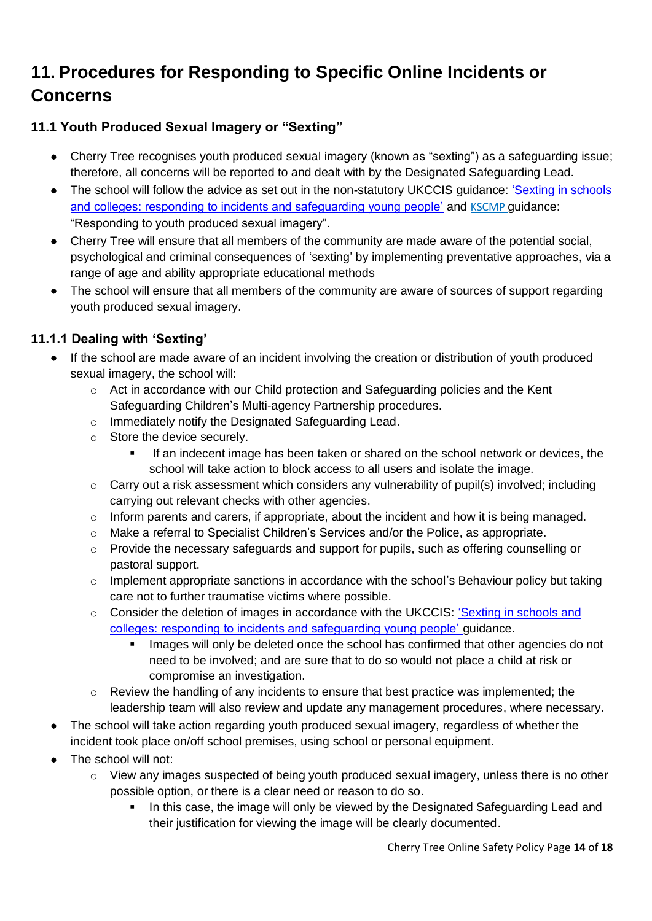## **11. Procedures for Responding to Specific Online Incidents or Concerns**

### **11.1 Youth Produced Sexual Imagery or "Sexting"**

- Cherry Tree recognises youth produced sexual imagery (known as "sexting") as a safeguarding issue; therefore, all concerns will be reported to and dealt with by the Designated Safeguarding Lead.
- The school will follow the advice as set out in the non-statutory UKCCIS quidance: 'Sexting in schools' [and colleges: responding to incidents and safeguarding young people'](https://www.gov.uk/government/groups/uk-council-for-child-internet-safety-ukccis) and KSCMP guidance: "Responding to youth produced sexual imagery".
- Cherry Tree will ensure that all members of the community are made aware of the potential social, psychological and criminal consequences of 'sexting' by implementing preventative approaches, via a range of age and ability appropriate educational methods
- The school will ensure that all members of the community are aware of sources of support regarding youth produced sexual imagery.

### **11.1.1 Dealing with 'Sexting'**

- If the school are made aware of an incident involving the creation or distribution of youth produced sexual imagery, the school will:
	- o Act in accordance with our Child protection and Safeguarding policies and the Kent Safeguarding Children's Multi-agency Partnership procedures.
	- o Immediately notify the Designated Safeguarding Lead.
	- o Store the device securely.
		- If an indecent image has been taken or shared on the school network or devices, the school will take action to block access to all users and isolate the image.
	- $\circ$  Carry out a risk assessment which considers any vulnerability of pupil(s) involved; including carrying out relevant checks with other agencies.
	- o Inform parents and carers, if appropriate, about the incident and how it is being managed.
	- o Make a referral to Specialist Children's Services and/or the Police, as appropriate.
	- o Provide the necessary safeguards and support for pupils, such as offering counselling or pastoral support.
	- $\circ$  Implement appropriate sanctions in accordance with the school's Behaviour policy but taking care not to further traumatise victims where possible.
	- o Consider the deletion of images in accordance with the UKCCIS: ['Sexting in schools and](https://www.gov.uk/government/groups/uk-council-for-child-internet-safety-ukccis)  [colleges: responding to incidents and safeguarding young people'](https://www.gov.uk/government/groups/uk-council-for-child-internet-safety-ukccis) guidance.
		- **·** Images will only be deleted once the school has confirmed that other agencies do not need to be involved; and are sure that to do so would not place a child at risk or compromise an investigation.
	- $\circ$  Review the handling of any incidents to ensure that best practice was implemented; the leadership team will also review and update any management procedures, where necessary.
- The school will take action regarding youth produced sexual imagery, regardless of whether the incident took place on/off school premises, using school or personal equipment.
- The school will not:
	- $\circ$  View any images suspected of being youth produced sexual imagery, unless there is no other possible option, or there is a clear need or reason to do so.
		- In this case, the image will only be viewed by the Designated Safeguarding Lead and their justification for viewing the image will be clearly documented.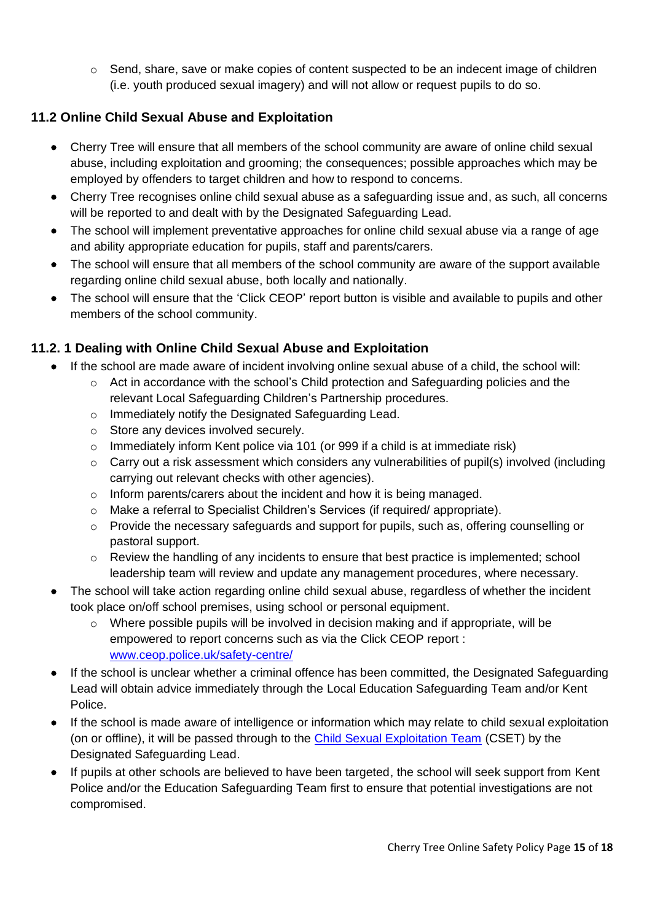$\circ$  Send, share, save or make copies of content suspected to be an indecent image of children (i.e. youth produced sexual imagery) and will not allow or request pupils to do so.

### **11.2 Online Child Sexual Abuse and Exploitation**

- Cherry Tree will ensure that all members of the school community are aware of online child sexual abuse, including exploitation and grooming; the consequences; possible approaches which may be employed by offenders to target children and how to respond to concerns.
- Cherry Tree recognises online child sexual abuse as a safeguarding issue and, as such, all concerns will be reported to and dealt with by the Designated Safeguarding Lead.
- The school will implement preventative approaches for online child sexual abuse via a range of age and ability appropriate education for pupils, staff and parents/carers.
- The school will ensure that all members of the school community are aware of the support available regarding online child sexual abuse, both locally and nationally.
- The school will ensure that the 'Click CEOP' report button is visible and available to pupils and other members of the school community.

### **11.2. 1 Dealing with Online Child Sexual Abuse and Exploitation**

- If the school are made aware of incident involving online sexual abuse of a child, the school will:
	- $\circ$  Act in accordance with the school's Child protection and Safeguarding policies and the relevant Local Safeguarding Children's Partnership procedures.
	- o Immediately notify the Designated Safeguarding Lead.
	- o Store any devices involved securely.
	- $\circ$  Immediately inform Kent police via 101 (or 999 if a child is at immediate risk)
	- $\circ$  Carry out a risk assessment which considers any vulnerabilities of pupil(s) involved (including carrying out relevant checks with other agencies).
	- o Inform parents/carers about the incident and how it is being managed.
	- o Make a referral to Specialist Children's Services (if required/ appropriate).
	- o Provide the necessary safeguards and support for pupils, such as, offering counselling or pastoral support.
	- $\circ$  Review the handling of any incidents to ensure that best practice is implemented; school leadership team will review and update any management procedures, where necessary.
- The school will take action regarding online child sexual abuse, regardless of whether the incident took place on/off school premises, using school or personal equipment.
	- $\circ$  Where possible pupils will be involved in decision making and if appropriate, will be empowered to report concerns such as via the Click CEOP report : [www.ceop.police.uk/safety-centre/](http://www.ceop.police.uk/safety-centre/)
- If the school is unclear whether a criminal offence has been committed, the Designated Safeguarding Lead will obtain advice immediately through the Local Education Safeguarding Team and/or Kent Police.
- If the school is made aware of intelligence or information which may relate to child sexual exploitation (on or offline), it will be passed through to the [Child Sexual Exploitation Team](https://www.kent.police.uk/childabuse/) (CSET) by the Designated Safeguarding Lead.
- If pupils at other schools are believed to have been targeted, the school will seek support from Kent Police and/or the Education Safeguarding Team first to ensure that potential investigations are not compromised.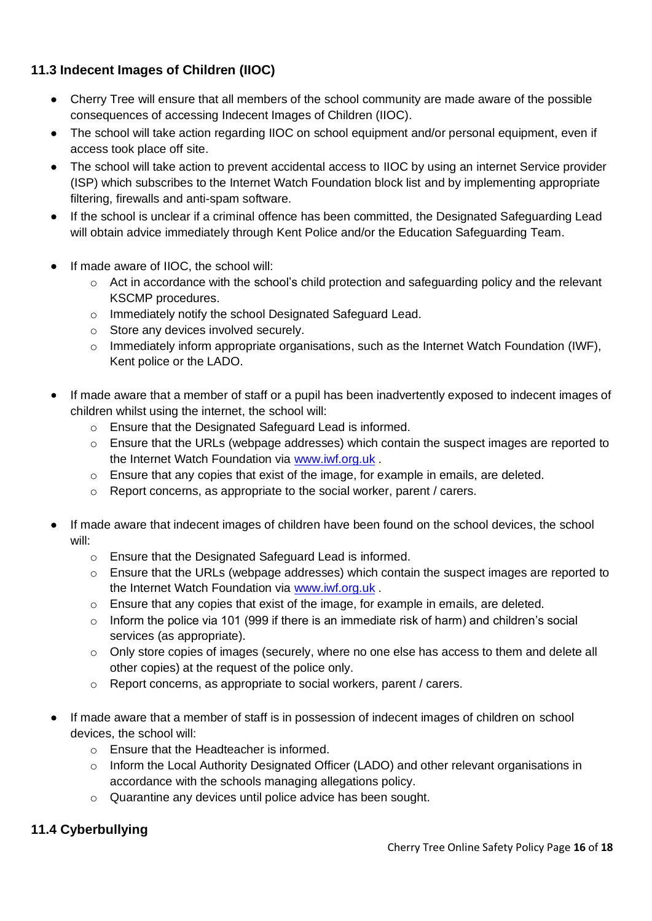### **11.3 Indecent Images of Children (IIOC)**

- Cherry Tree will ensure that all members of the school community are made aware of the possible consequences of accessing Indecent Images of Children (IIOC).
- The school will take action regarding IIOC on school equipment and/or personal equipment, even if access took place off site.
- The school will take action to prevent accidental access to IIOC by using an internet Service provider (ISP) which subscribes to the Internet Watch Foundation block list and by implementing appropriate filtering, firewalls and anti-spam software.
- If the school is unclear if a criminal offence has been committed, the Designated Safeguarding Lead will obtain advice immediately through Kent Police and/or the Education Safeguarding Team.
- If made aware of IIOC, the school will:
	- $\circ$  Act in accordance with the school's child protection and safeguarding policy and the relevant KSCMP procedures.
	- o Immediately notify the school Designated Safeguard Lead.
	- o Store any devices involved securely.
	- $\circ$  Immediately inform appropriate organisations, such as the Internet Watch Foundation (IWF), Kent police or the LADO.
- If made aware that a member of staff or a pupil has been inadvertently exposed to indecent images of children whilst using the internet, the school will:
	- o Ensure that the Designated Safeguard Lead is informed.
	- o Ensure that the URLs (webpage addresses) which contain the suspect images are reported to the Internet Watch Foundation via [www.iwf.org.uk](https://www.iwf.org.uk/) .
	- $\circ$  Ensure that any copies that exist of the image, for example in emails, are deleted.
	- o Report concerns, as appropriate to the social worker, parent / carers.
- If made aware that indecent images of children have been found on the school devices, the school will:
	- o Ensure that the Designated Safeguard Lead is informed.
	- $\circ$  Ensure that the URLs (webpage addresses) which contain the suspect images are reported to the Internet Watch Foundation via [www.iwf.org.uk](https://www.iwf.org.uk/) .
	- o Ensure that any copies that exist of the image, for example in emails, are deleted.
	- o Inform the police via 101 (999 if there is an immediate risk of harm) and children's social services (as appropriate).
	- o Only store copies of images (securely, where no one else has access to them and delete all other copies) at the request of the police only.
	- o Report concerns, as appropriate to social workers, parent / carers.
- If made aware that a member of staff is in possession of indecent images of children on school devices, the school will:
	- o Ensure that the Headteacher is informed.
	- o Inform the Local Authority Designated Officer (LADO) and other relevant organisations in accordance with the schools managing allegations policy.
	- o Quarantine any devices until police advice has been sought.

### **11.4 Cyberbullying**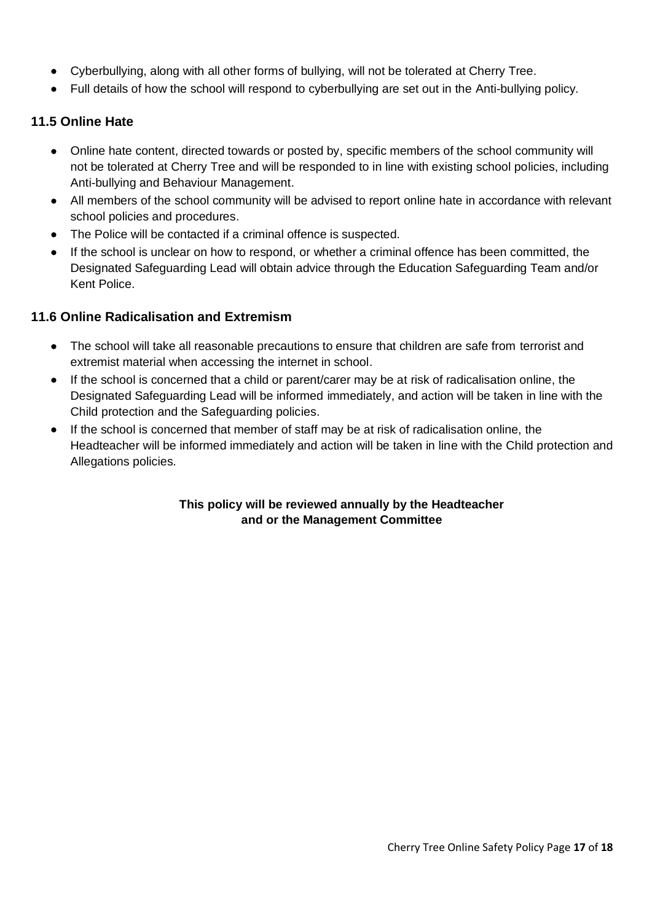- Cyberbullying, along with all other forms of bullying, will not be tolerated at Cherry Tree.
- Full details of how the school will respond to cyberbullying are set out in the Anti-bullying policy.

#### **11.5 Online Hate**

- Online hate content, directed towards or posted by, specific members of the school community will not be tolerated at Cherry Tree and will be responded to in line with existing school policies, including Anti-bullying and Behaviour Management.
- All members of the school community will be advised to report online hate in accordance with relevant school policies and procedures.
- The Police will be contacted if a criminal offence is suspected.
- If the school is unclear on how to respond, or whether a criminal offence has been committed, the Designated Safeguarding Lead will obtain advice through the Education Safeguarding Team and/or Kent Police.

#### **11.6 Online Radicalisation and Extremism**

- The school will take all reasonable precautions to ensure that children are safe from terrorist and extremist material when accessing the internet in school.
- If the school is concerned that a child or parent/carer may be at risk of radicalisation online, the Designated Safeguarding Lead will be informed immediately, and action will be taken in line with the Child protection and the Safeguarding policies.
- If the school is concerned that member of staff may be at risk of radicalisation online, the Headteacher will be informed immediately and action will be taken in line with the Child protection and Allegations policies.

#### **This policy will be reviewed annually by the Headteacher and or the Management Committee**